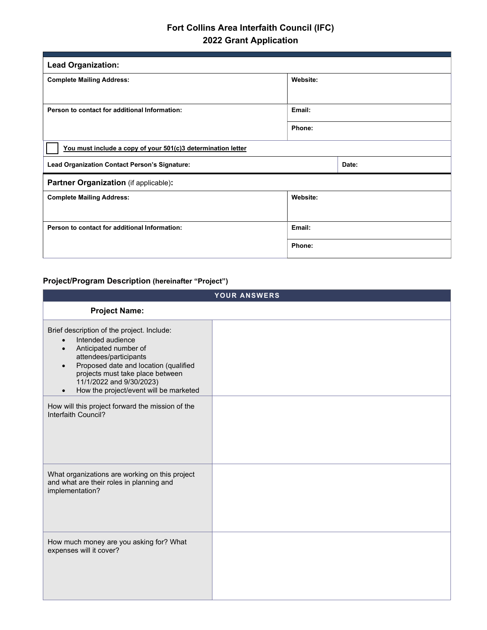## **Fort Collins Area Interfaith Council (IFC) 2022 Grant Application**

| <b>Lead Organization:</b>                                    |          |       |  |  |
|--------------------------------------------------------------|----------|-------|--|--|
| <b>Complete Mailing Address:</b>                             | Website: |       |  |  |
|                                                              |          |       |  |  |
| Person to contact for additional Information:                | Email:   |       |  |  |
|                                                              | Phone:   |       |  |  |
| You must include a copy of your 501(c)3 determination letter |          |       |  |  |
| Lead Organization Contact Person's Signature:                |          | Date: |  |  |
| Partner Organization (if applicable):                        |          |       |  |  |
| <b>Complete Mailing Address:</b>                             | Website: |       |  |  |
|                                                              |          |       |  |  |
| Person to contact for additional Information:                | Email:   |       |  |  |
|                                                              | Phone:   |       |  |  |

## **Project/Program Description (hereinafter "Project")**

|                                                                                                                                                                                                                                                                                                 | YOUR ANSWERS |
|-------------------------------------------------------------------------------------------------------------------------------------------------------------------------------------------------------------------------------------------------------------------------------------------------|--------------|
| <b>Project Name:</b>                                                                                                                                                                                                                                                                            |              |
| Brief description of the project. Include:<br>Intended audience<br>Anticipated number of<br>$\bullet$<br>attendees/participants<br>Proposed date and location (qualified<br>$\bullet$<br>projects must take place between<br>11/1/2022 and 9/30/2023)<br>How the project/event will be marketed |              |
| How will this project forward the mission of the<br>Interfaith Council?                                                                                                                                                                                                                         |              |
| What organizations are working on this project<br>and what are their roles in planning and<br>implementation?                                                                                                                                                                                   |              |
| How much money are you asking for? What<br>expenses will it cover?                                                                                                                                                                                                                              |              |